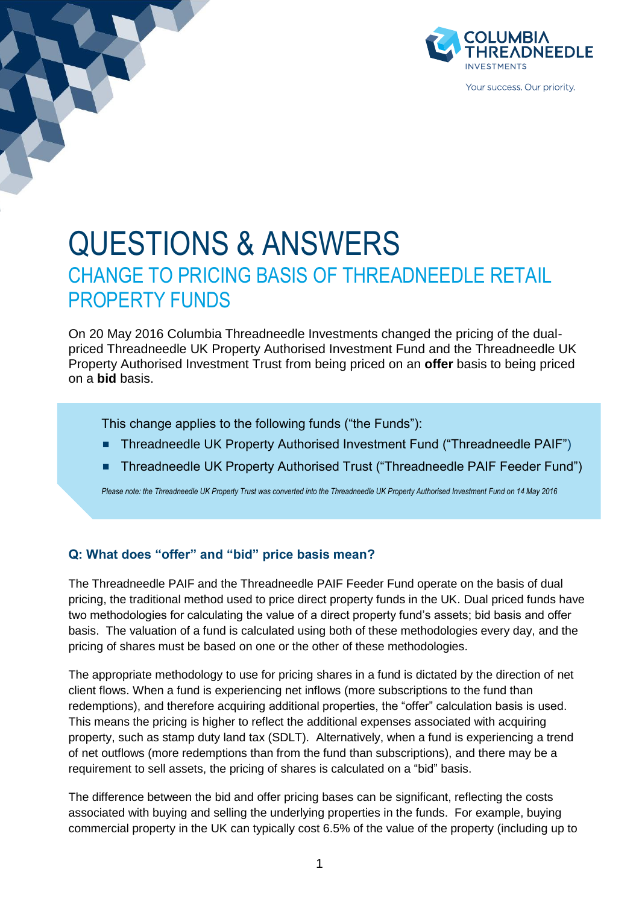

# QUESTIONS & ANSWERS CHANGE TO PRICING BASIS OF THREADNEEDLE RETAIL PROPERTY FUNDS

On 20 May 2016 Columbia Threadneedle Investments changed the pricing of the dualpriced Threadneedle UK Property Authorised Investment Fund and the Threadneedle UK Property Authorised Investment Trust from being priced on an **offer** basis to being priced on a **bid** basis.

This change applies to the following funds ("the Funds"):

- Threadneedle UK Property Authorised Investment Fund ("Threadneedle PAIF")
- Threadneedle UK Property Authorised Trust ("Threadneedle PAIF Feeder Fund")

*Please note: the Threadneedle UK Property Trust was converted into the Threadneedle UK Property Authorised Investment Fund on 14 May 2016*

### **Q: What does "offer" and "bid" price basis mean?**

The Threadneedle PAIF and the Threadneedle PAIF Feeder Fund operate on the basis of dual pricing, the traditional method used to price direct property funds in the UK. Dual priced funds have two methodologies for calculating the value of a direct property fund's assets; bid basis and offer basis. The valuation of a fund is calculated using both of these methodologies every day, and the pricing of shares must be based on one or the other of these methodologies.

The appropriate methodology to use for pricing shares in a fund is dictated by the direction of net client flows. When a fund is experiencing net inflows (more subscriptions to the fund than redemptions), and therefore acquiring additional properties, the "offer" calculation basis is used. This means the pricing is higher to reflect the additional expenses associated with acquiring property, such as stamp duty land tax (SDLT). Alternatively, when a fund is experiencing a trend of net outflows (more redemptions than from the fund than subscriptions), and there may be a requirement to sell assets, the pricing of shares is calculated on a "bid" basis.

The difference between the bid and offer pricing bases can be significant, reflecting the costs associated with buying and selling the underlying properties in the funds. For example, buying commercial property in the UK can typically cost 6.5% of the value of the property (including up to